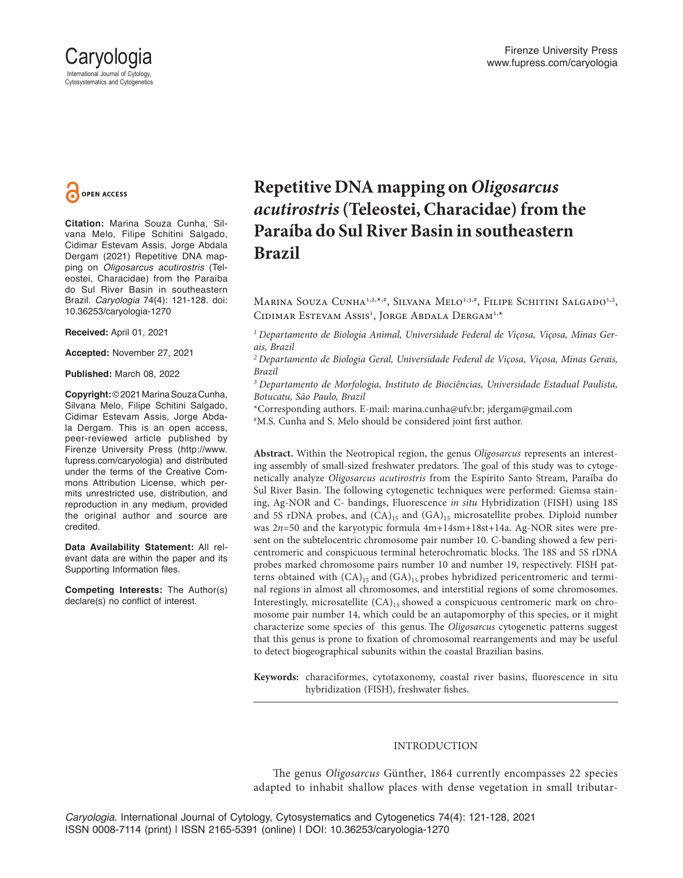



**Citation:** Marina Souza Cunha, Silvana Melo, Filipe Schitini Salgado, Cidimar Estevam Assis, Jorge Abdala Dergam (2021) Repetitive DNA mapping on *Oligosarcus acutirostris* (Teleostei, Characidae) from the Paraíba do Sul River Basin in southeastern Brazil. *Caryologia* 74(4): 121-128. doi: 10.36253/caryologia-1270

**Received:** April 01, 2021

**Accepted:** November 27, 2021

**Published:** March 08, 2022

**Copyright:** © 2021 Marina Souza Cunha, Silvana Melo, Filipe Schitini Salgado, Cidimar Estevam Assis, Jorge Abdala Dergam. This is an open access, peer-reviewed article published by Firenze University Press (http://www. fupress.com/caryologia) and distributed under the terms of the Creative Commons Attribution License, which permits unrestricted use, distribution, and reproduction in any medium, provided the original author and source are credited.

**Data Availability Statement:** All relevant data are within the paper and its Supporting Information files.

**Competing Interests:** The Author(s) declare(s) no conflict of interest.

# **Repetitive DNA mapping on** *Oligosarcus acutirostris* **(Teleostei, Characidae) from the Paraíba do Sul River Basin in southeastern Brazil**

MARINA SOUZA CUNHA<sup>1,2,\*,#</sup>, SILVANA MELO<sup>1,3,#</sup>, FILIPE SCHITINI SALGADO<sup>1,2</sup>, Cidimar Estevam Assis<sup>1</sup>, Jorge Abdala Dergam<sup>1,\*</sup>

*1 Departamento de Biologia Animal, Universidade Federal de Viçosa, Viçosa, Minas Gerais, Brazil*

*2 Departamento de Biologia Geral, Universidade Federal de Viçosa, Viçosa, Minas Gerais, Brazil*

*3 Departamento de Morfologia, Instituto de Biociências, Universidade Estadual Paulista, Botucatu, São Paulo, Brazil*

\*Corresponding authors. E-mail: marina.cunha@ufv.br; jdergam@gmail.com # M.S. Cunha and S. Melo should be considered joint first author.

**Abstract.** Within the Neotropical region, the genus *Oligosarcus* represents an interesting assembly of small-sized freshwater predators. The goal of this study was to cytogenetically analyze *Oligosarcus acutirostris* from the Espírito Santo Stream, Paraíba do Sul River Basin. The following cytogenetic techniques were performed: Giemsa staining, Ag-NOR and C- bandings, Fluorescence *in situ* Hybridization (FISH) using 18S and 5S rDNA probes, and  $(CA)_{15}$  and  $(GA)_{15}$  microsatellite probes. Diploid number was 2*n*=50 and the karyotypic formula 4m+14sm+18st+14a. Ag-NOR sites were present on the subtelocentric chromosome pair number 10. C-banding showed a few pericentromeric and conspicuous terminal heterochromatic blocks. The 18S and 5S rDNA probes marked chromosome pairs number 10 and number 19, respectively. FISH patterns obtained with  $(CA)_{15}$  and  $(GA)_{15}$  probes hybridized pericentromeric and terminal regions in almost all chromosomes, and interstitial regions of some chromosomes. Interestingly, microsatellite  $(CA)_{15}$  showed a conspicuous centromeric mark on chromosome pair number 14, which could be an autapomorphy of this species, or it might characterize some species of this genus. The *Oligosarcus* cytogenetic patterns suggest that this genus is prone to fixation of chromosomal rearrangements and may be useful to detect biogeographical subunits within the coastal Brazilian basins.

**Keywords:** characiformes, cytotaxonomy, coastal river basins, fluorescence in situ hybridization (FISH), freshwater fishes.

# INTRODUCTION

The genus *Oligosarcus* Günther, 1864 currently encompasses 22 species adapted to inhabit shallow places with dense vegetation in small tributar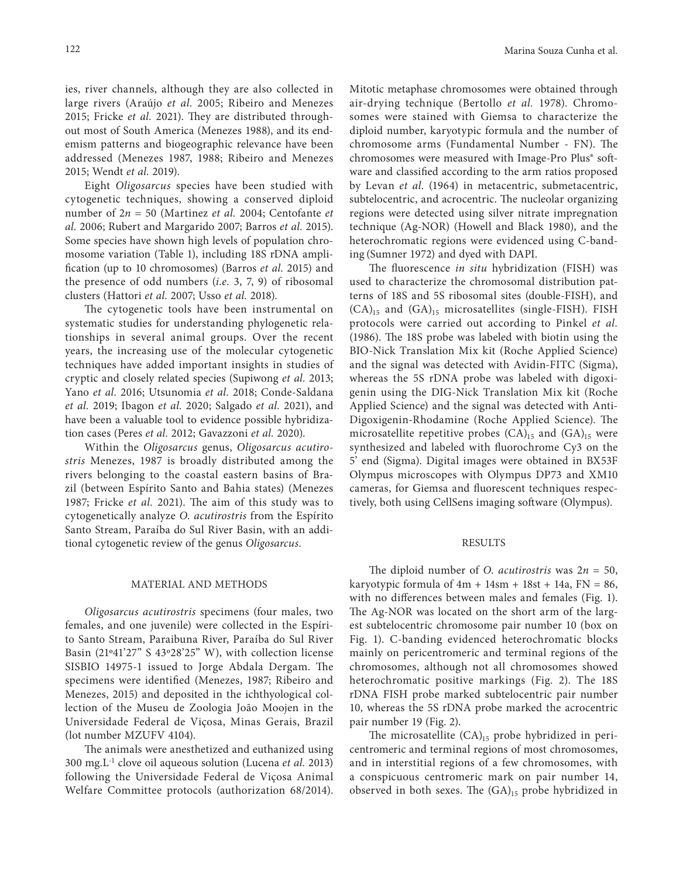ies, river channels, although they are also collected in large rivers (Araújo *et al.* 2005; Ribeiro and Menezes 2015; Fricke *et al.* 2021). They are distributed throughout most of South America (Menezes 1988), and its endemism patterns and biogeographic relevance have been addressed (Menezes 1987, 1988; Ribeiro and Menezes 2015; Wendt *et al.* 2019).

Eight *Oligosarcus* species have been studied with cytogenetic techniques, showing a conserved diploid number of 2*n* = 50 (Martinez *et al.* 2004; Centofante *et al.* 2006; Rubert and Margarido 2007; Barros *et al.* 2015). Some species have shown high levels of population chromosome variation (Table 1), including 18S rDNA amplification (up to 10 chromosomes) (Barros *et al.* 2015) and the presence of odd numbers (*i.e.* 3, 7, 9) of ribosomal clusters (Hattori *et al.* 2007; Usso *et al.* 2018).

The cytogenetic tools have been instrumental on systematic studies for understanding phylogenetic relationships in several animal groups. Over the recent years, the increasing use of the molecular cytogenetic techniques have added important insights in studies of cryptic and closely related species (Supiwong *et al.* 2013; Yano *et al.* 2016; Utsunomia *et al.* 2018; Conde-Saldana *et al.* 2019; Ibagon *et al.* 2020; Salgado *et al.* 2021), and have been a valuable tool to evidence possible hybridization cases (Peres *et al.* 2012; Gavazzoni *et al.* 2020).

Within the *Oligosarcus* genus, *Oligosarcus acutirostris* Menezes, 1987 is broadly distributed among the rivers belonging to the coastal eastern basins of Brazil (between Espírito Santo and Bahia states) (Menezes 1987; Fricke *et al.* 2021). The aim of this study was to cytogenetically analyze *O. acutirostris* from the Espírito Santo Stream, Paraíba do Sul River Basin, with an additional cytogenetic review of the genus *Oligosarcus*.

#### MATERIAL AND METHODS

*Oligosarcus acutirostris* specimens (four males, two females, and one juvenile) were collected in the Espírito Santo Stream, Paraibuna River, Paraíba do Sul River Basin (21º41'27" S 43º28'25" W), with collection license SISBIO 14975-1 issued to Jorge Abdala Dergam. The specimens were identified (Menezes, 1987; Ribeiro and Menezes, 2015) and deposited in the ichthyological collection of the Museu de Zoologia João Moojen in the Universidade Federal de Viçosa, Minas Gerais, Brazil (lot number MZUFV 4104).

The animals were anesthetized and euthanized using 300 mg.L-1 clove oil aqueous solution (Lucena *et al.* 2013) following the Universidade Federal de Viçosa Animal Welfare Committee protocols (authorization 68/2014).

Mitotic metaphase chromosomes were obtained through air-drying technique (Bertollo *et al.* 1978). Chromosomes were stained with Giemsa to characterize the diploid number, karyotypic formula and the number of chromosome arms (Fundamental Number - FN). The chromosomes were measured with Image-Pro Plus® software and classified according to the arm ratios proposed by Levan *et al.* (1964) in metacentric, submetacentric, subtelocentric, and acrocentric. The nucleolar organizing regions were detected using silver nitrate impregnation technique (Ag-NOR) (Howell and Black 1980), and the heterochromatic regions were evidenced using C-banding (Sumner 1972) and dyed with DAPI.

The fluorescence *in situ* hybridization (FISH) was used to characterize the chromosomal distribution patterns of 18S and 5S ribosomal sites (double-FISH), and  $(CA)_{15}$  and  $(GA)_{15}$  microsatellites (single-FISH). FISH protocols were carried out according to Pinkel *et al.* (1986). The 18S probe was labeled with biotin using the BIO-Nick Translation Mix kit (Roche Applied Science) and the signal was detected with Avidin-FITC (Sigma), whereas the 5S rDNA probe was labeled with digoxigenin using the DIG-Nick Translation Mix kit (Roche Applied Science) and the signal was detected with Anti-Digoxigenin-Rhodamine (Roche Applied Science). The microsatellite repetitive probes  $(CA)_{15}$  and  $(GA)_{15}$  were synthesized and labeled with fluorochrome Cy3 on the 5' end (Sigma). Digital images were obtained in BX53F Olympus microscopes with Olympus DP73 and XM10 cameras, for Giemsa and fluorescent techniques respectively, both using CellSens imaging software (Olympus).

#### RESULTS

The diploid number of *O. acutirostris* was 2*n* = 50, karyotypic formula of  $4m + 14sm + 18st + 14a$ ,  $FN = 86$ , with no differences between males and females (Fig. 1). The Ag-NOR was located on the short arm of the largest subtelocentric chromosome pair number 10 (box on Fig. 1). C-banding evidenced heterochromatic blocks mainly on pericentromeric and terminal regions of the chromosomes, although not all chromosomes showed heterochromatic positive markings (Fig. 2). The 18S rDNA FISH probe marked subtelocentric pair number 10, whereas the 5S rDNA probe marked the acrocentric pair number 19 (Fig. 2).

The microsatellite  $(CA)_{15}$  probe hybridized in pericentromeric and terminal regions of most chromosomes, and in interstitial regions of a few chromosomes, with a conspicuous centromeric mark on pair number 14, observed in both sexes. The  $(GA)_{15}$  probe hybridized in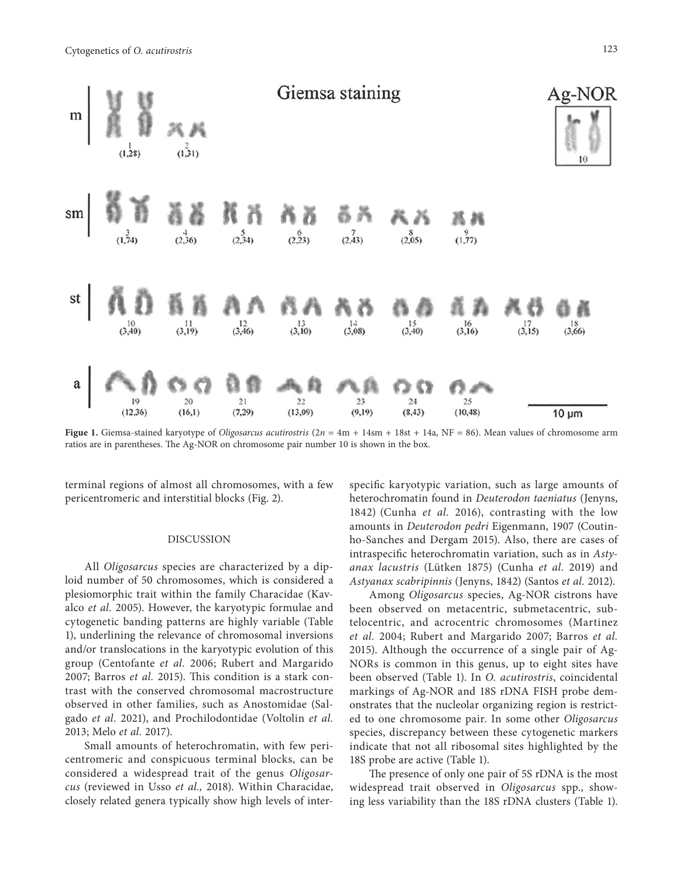

**Figue 1.** Giemsa-stained karyotype of *Oligosarcus acutirostris* (2*n* = 4m + 14sm + 18st + 14a, NF = 86). Mean values of chromosome arm ratios are in parentheses. The Ag-NOR on chromosome pair number 10 is shown in the box.

terminal regions of almost all chromosomes, with a few pericentromeric and interstitial blocks (Fig. 2).

#### DISCUSSION

All *Oligosarcus* species are characterized by a diploid number of 50 chromosomes, which is considered a plesiomorphic trait within the family Characidae (Kavalco *et al.* 2005). However, the karyotypic formulae and cytogenetic banding patterns are highly variable (Table 1), underlining the relevance of chromosomal inversions and/or translocations in the karyotypic evolution of this group (Centofante *et al.* 2006; Rubert and Margarido 2007; Barros *et al.* 2015). This condition is a stark contrast with the conserved chromosomal macrostructure observed in other families, such as Anostomidae (Salgado *et al.* 2021), and Prochilodontidae (Voltolin *et al.* 2013; Melo *et al.* 2017).

Small amounts of heterochromatin, with few pericentromeric and conspicuous terminal blocks, can be considered a widespread trait of the genus *Oligosarcus* (reviewed in Usso *et al.,* 2018). Within Characidae, closely related genera typically show high levels of inter-

specific karyotypic variation, such as large amounts of heterochromatin found in *Deuterodon taeniatus* (Jenyns, 1842) (Cunha *et al.* 2016), contrasting with the low amounts in *Deuterodon pedri* Eigenmann, 1907 (Coutinho-Sanches and Dergam 2015). Also, there are cases of intraspecific heterochromatin variation, such as in *Astyanax lacustris* (Lütken 1875) (Cunha *et al.* 2019) and *Astyanax scabripinnis* (Jenyns, 1842) (Santos *et al.* 2012).

Among *Oligosarcus* species, Ag-NOR cistrons have been observed on metacentric, submetacentric, subtelocentric, and acrocentric chromosomes (Martinez *et al.* 2004; Rubert and Margarido 2007; Barros *et al.* 2015). Although the occurrence of a single pair of Ag-NORs is common in this genus, up to eight sites have been observed (Table 1). In *O. acutirostris*, coincidental markings of Ag-NOR and 18S rDNA FISH probe demonstrates that the nucleolar organizing region is restricted to one chromosome pair. In some other *Oligosarcus* species, discrepancy between these cytogenetic markers indicate that not all ribosomal sites highlighted by the 18S probe are active (Table 1).

The presence of only one pair of 5S rDNA is the most widespread trait observed in *Oligosarcus* spp., showing less variability than the 18S rDNA clusters (Table 1).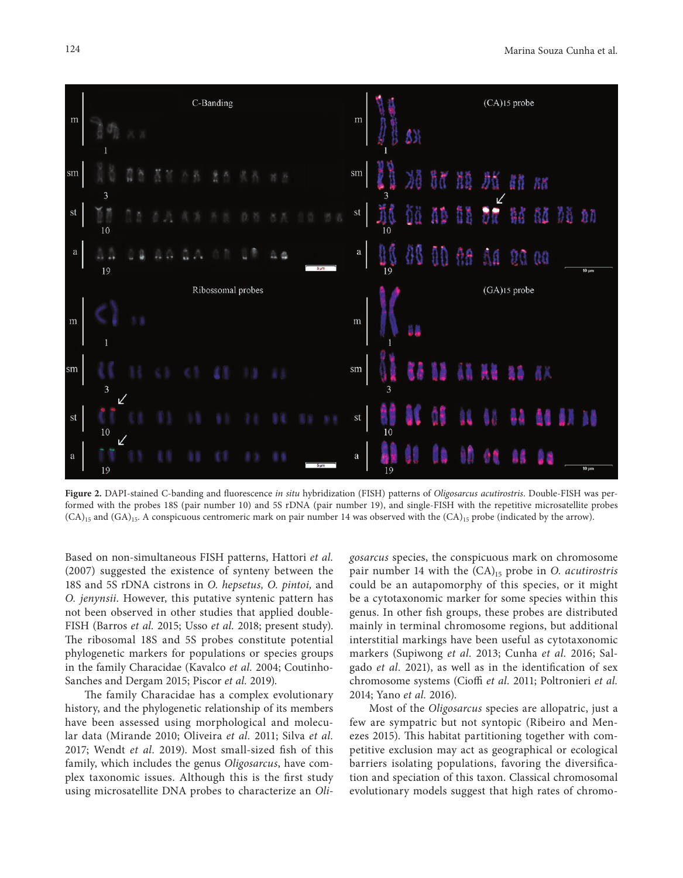

**Figure 2.** DAPI-stained C-banding and fluorescence *in situ* hybridization (FISH) patterns of *Oligosarcus acutirostris*. Double-FISH was performed with the probes 18S (pair number 10) and 5S rDNA (pair number 19), and single-FISH with the repetitive microsatellite probes  $(CA)_{15}$  and  $(GA)_{15}$ . A conspicuous centromeric mark on pair number 14 was observed with the  $(CA)_{15}$  probe (indicated by the arrow).

Based on non-simultaneous FISH patterns, Hattori *et al.* (2007) suggested the existence of synteny between the 18S and 5S rDNA cistrons in *O. hepsetus, O. pintoi,* and *O. jenynsii*. However, this putative syntenic pattern has not been observed in other studies that applied double-FISH (Barros *et al.* 2015; Usso *et al.* 2018; present study). The ribosomal 18S and 5S probes constitute potential phylogenetic markers for populations or species groups in the family Characidae (Kavalco *et al.* 2004; Coutinho-Sanches and Dergam 2015; Piscor *et al.* 2019).

The family Characidae has a complex evolutionary history, and the phylogenetic relationship of its members have been assessed using morphological and molecular data (Mirande 2010; Oliveira *et al.* 2011; Silva *et al.* 2017; Wendt *et al.* 2019). Most small-sized fish of this family, which includes the genus *Oligosarcus*, have complex taxonomic issues. Although this is the first study using microsatellite DNA probes to characterize an *Oli-* *gosarcus* species, the conspicuous mark on chromosome pair number 14 with the  $(CA)_{15}$  probe in *O. acutirostris* could be an autapomorphy of this species, or it might be a cytotaxonomic marker for some species within this genus. In other fish groups, these probes are distributed mainly in terminal chromosome regions, but additional interstitial markings have been useful as cytotaxonomic markers (Supiwong *et al.* 2013; Cunha *et al.* 2016; Salgado *et al.* 2021), as well as in the identification of sex chromosome systems (Cioffi *et al.* 2011; Poltronieri *et al.* 2014; Yano *et al.* 2016).

Most of the *Oligosarcus* species are allopatric, just a few are sympatric but not syntopic (Ribeiro and Menezes 2015). This habitat partitioning together with competitive exclusion may act as geographical or ecological barriers isolating populations, favoring the diversification and speciation of this taxon. Classical chromosomal evolutionary models suggest that high rates of chromo-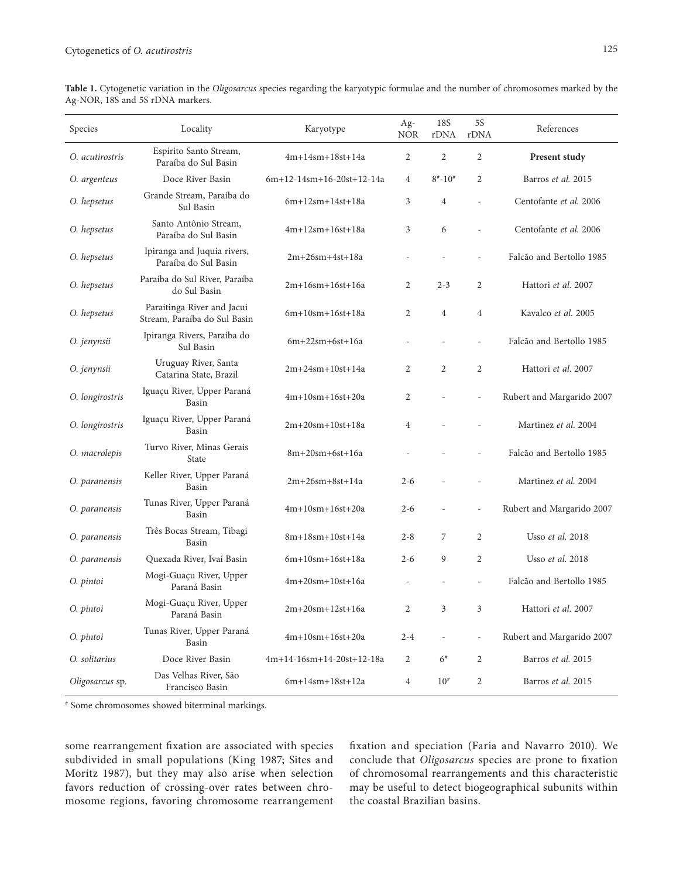| Species         | Locality                                                   | Karyotype                  | Ag-<br>NOR     | 18S<br>rDNA      | 5S<br>rDNA               | References                |
|-----------------|------------------------------------------------------------|----------------------------|----------------|------------------|--------------------------|---------------------------|
| O. acutirostris | Espírito Santo Stream,<br>Paraíba do Sul Basin             | $4m+14sm+18st+14a$         | 2              | $\overline{2}$   | $\overline{2}$           | Present study             |
| O. argenteus    | Doce River Basin                                           | 6m+12-14sm+16-20st+12-14a  | 4              | $8^{\#}-10^{\#}$ | $\overline{2}$           | Barros et al. 2015        |
| O. hepsetus     | Grande Stream, Paraíba do<br>Sul Basin                     | $6m+12sm+14st+18a$         | 3              | $\overline{4}$   | L.                       | Centofante et al. 2006    |
| O. hepsetus     | Santo Antônio Stream,<br>Paraíba do Sul Basin              | $4m+12sm+16st+18a$         | 3              | 6                |                          | Centofante et al. 2006    |
| O. hepsetus     | Ipiranga and Juquia rivers,<br>Paraíba do Sul Basin        | $2m+26sm+4st+18a$          |                |                  |                          | Falcão and Bertollo 1985  |
| O. hepsetus     | Paraíba do Sul River, Paraíba<br>do Sul Basin              | 2m+16sm+16st+16a           | $\overline{2}$ | $2 - 3$          | $\overline{2}$           | Hattori et al. 2007       |
| O. hepsetus     | Paraitinga River and Jacui<br>Stream, Paraíba do Sul Basin | $6m+10$ sm $+16$ st $+18a$ | $\overline{c}$ | $\overline{4}$   | $\overline{4}$           | Kavalco et al. 2005       |
| O. jenynsii     | Ipiranga Rivers, Paraíba do<br>Sul Basin                   | $6m+22sm+6st+16a$          | ÷,             |                  | $\sim$                   | Falcão and Bertollo 1985  |
| O. jenynsii     | Uruguay River, Santa<br>Catarina State, Brazil             | 2m+24sm+10st+14a           | $\overline{2}$ | $\overline{2}$   | $\overline{2}$           | Hattori et al. 2007       |
| O. longirostris | Iguaçu River, Upper Paraná<br>Basin                        | $4m+10$ sm+ $16st+20a$     | 2              |                  | L.                       | Rubert and Margarido 2007 |
| O. longirostris | Iguaçu River, Upper Paraná<br>Basin                        | $2m+20$ sm+ $10st+18a$     | $\overline{4}$ |                  |                          | Martinez et al. 2004      |
| O. macrolepis   | Turvo River, Minas Gerais<br>State                         | $8m+20$ sm+6st+16a         |                |                  |                          | Falcão and Bertollo 1985  |
| O. paranensis   | Keller River, Upper Paraná<br>Basin                        | $2m+26sm+8st+14a$          | $2 - 6$        |                  |                          | Martinez et al. 2004      |
| O. paranensis   | Tunas River, Upper Paraná<br>Basin                         | $4m+10$ sm $+16$ st $+20a$ | $2 - 6$        |                  |                          | Rubert and Margarido 2007 |
| O. paranensis   | Três Bocas Stream, Tibagi<br>Basin                         | 8m+18sm+10st+14a           | $2 - 8$        | 7                | 2                        | Usso et al. 2018          |
| O. paranensis   | Quexada River, Ivaí Basin                                  | $6m+10$ sm $+16$ st $+18a$ | $2 - 6$        | 9                | $\overline{2}$           | Usso et al. 2018          |
| O. pintoi       | Mogi-Guaçu River, Upper<br>Paraná Basin                    | $4m+20$ sm+ $10st+16a$     | $\overline{a}$ |                  | ÷,                       | Falcão and Bertollo 1985  |
| O. pintoi       | Mogi-Guaçu River, Upper<br>Paraná Basin                    | $2m+20$ sm+ $12st+16a$     | $\overline{2}$ | 3                | 3                        | Hattori et al. 2007       |
| O. pintoi       | Tunas River, Upper Paraná<br>Basin                         | $4m+10$ sm+ $16st+20a$     | $2 - 4$        | L.               | $\overline{\phantom{a}}$ | Rubert and Margarido 2007 |
| O. solitarius   | Doce River Basin                                           | 4m+14-16sm+14-20st+12-18a  | 2              | $6^{\#}$         | $\overline{2}$           | Barros et al. 2015        |
| Oligosarcus sp. | Das Velhas River, São<br>Francisco Basin                   | $6m+14sm+18st+12a$         | 4              | $10^{#}$         | $\overline{c}$           | Barros et al. 2015        |

**Table 1.** Cytogenetic variation in the *Oligosarcus* species regarding the karyotypic formulae and the number of chromosomes marked by the Ag-NOR, 18S and 5S rDNA markers.

# Some chromosomes showed biterminal markings.

some rearrangement fixation are associated with species subdivided in small populations (King 1987; Sites and Moritz 1987), but they may also arise when selection favors reduction of crossing-over rates between chromosome regions, favoring chromosome rearrangement fixation and speciation (Faria and Navarro 2010). We conclude that *Oligosarcus* species are prone to fixation of chromosomal rearrangements and this characteristic may be useful to detect biogeographical subunits within the coastal Brazilian basins.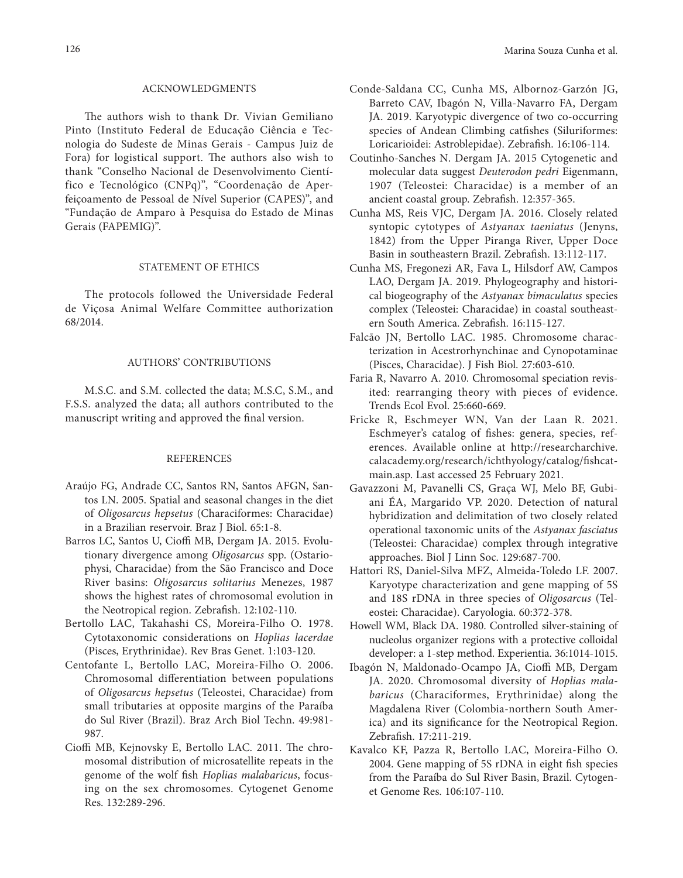### ACKNOWLEDGMENTS

The authors wish to thank Dr. Vivian Gemiliano Pinto (Instituto Federal de Educação Ciência e Tecnologia do Sudeste de Minas Gerais - Campus Juiz de Fora) for logistical support. The authors also wish to thank "Conselho Nacional de Desenvolvimento Científico e Tecnológico (CNPq)", "Coordenação de Aperfeiçoamento de Pessoal de Nível Superior (CAPES)", and "Fundação de Amparo à Pesquisa do Estado de Minas Gerais (FAPEMIG)".

## STATEMENT OF ETHICS

The protocols followed the Universidade Federal de Viçosa Animal Welfare Committee authorization 68/2014.

# AUTHORS' CONTRIBUTIONS

M.S.C. and S.M. collected the data; M.S.C, S.M., and F.S.S. analyzed the data; all authors contributed to the manuscript writing and approved the final version.

#### **REFERENCES**

- Araújo FG, Andrade CC, Santos RN, Santos AFGN, Santos LN. 2005. Spatial and seasonal changes in the diet of *Oligosarcus hepsetus* (Characiformes: Characidae) in a Brazilian reservoir. Braz J Biol. 65:1-8.
- Barros LC, Santos U, Cioffi MB, Dergam JA. 2015. Evolutionary divergence among *Oligosarcus* spp. (Ostariophysi, Characidae) from the São Francisco and Doce River basins: *Oligosarcus solitarius* Menezes, 1987 shows the highest rates of chromosomal evolution in the Neotropical region. Zebrafish. 12:102-110.
- Bertollo LAC, Takahashi CS, Moreira-Filho O. 1978. Cytotaxonomic considerations on *Hoplias lacerdae* (Pisces, Erythrinidae). Rev Bras Genet. 1:103-120.
- Centofante L, Bertollo LAC, Moreira-Filho O. 2006. Chromosomal differentiation between populations of *Oligosarcus hepsetus* (Teleostei, Characidae) from small tributaries at opposite margins of the Paraíba do Sul River (Brazil). Braz Arch Biol Techn. 49:981- 987.
- Cioffi MB, Kejnovsky E, Bertollo LAC. 2011. The chromosomal distribution of microsatellite repeats in the genome of the wolf fish *Hoplias malabaricus*, focusing on the sex chromosomes. Cytogenet Genome Res. 132:289-296.
- Conde-Saldana CC, Cunha MS, Albornoz-Garzón JG, Barreto CAV, Ibagón N, Villa-Navarro FA, Dergam JA. 2019. Karyotypic divergence of two co-occurring species of Andean Climbing catfishes (Siluriformes: Loricarioidei: Astroblepidae). Zebrafish. 16:106-114.
- Coutinho-Sanches N. Dergam JA. 2015 Cytogenetic and molecular data suggest *Deuterodon pedri* Eigenmann, 1907 (Teleostei: Characidae) is a member of an ancient coastal group. Zebrafish. 12:357-365.
- Cunha MS, Reis VJC, Dergam JA. 2016. Closely related syntopic cytotypes of *Astyanax taeniatus* (Jenyns, 1842) from the Upper Piranga River, Upper Doce Basin in southeastern Brazil. Zebrafish. 13:112-117.
- Cunha MS, Fregonezi AR, Fava L, Hilsdorf AW, Campos LAO, Dergam JA. 2019. Phylogeography and historical biogeography of the *Astyanax bimaculatus* species complex (Teleostei: Characidae) in coastal southeastern South America. Zebrafish. 16:115-127.
- Falcão JN, Bertollo LAC. 1985. Chromosome characterization in Acestrorhynchinae and Cynopotaminae (Pisces, Characidae). J Fish Biol. 27:603-610.
- Faria R, Navarro A. 2010. Chromosomal speciation revisited: rearranging theory with pieces of evidence. Trends Ecol Evol. 25:660-669.
- Fricke R, Eschmeyer WN, Van der Laan R. 2021. Eschmeyer's catalog of fishes: genera, species, references. Available online at http://researcharchive. calacademy.org/research/ichthyology/catalog/fishcatmain.asp. Last accessed 25 February 2021.
- Gavazzoni M, Pavanelli CS, Graça WJ, Melo BF, Gubiani ÉA, Margarido VP. 2020. Detection of natural hybridization and delimitation of two closely related operational taxonomic units of the *Astyanax fasciatus* (Teleostei: Characidae) complex through integrative approaches. Biol J Linn Soc. 129:687-700.
- Hattori RS, Daniel-Silva MFZ, Almeida-Toledo LF. 2007. Karyotype characterization and gene mapping of 5S and 18S rDNA in three species of *Oligosarcus* (Teleostei: Characidae). Caryologia. 60:372-378.
- Howell WM, Black DA. 1980. Controlled silver-staining of nucleolus organizer regions with a protective colloidal developer: a 1-step method. Experientia. 36:1014-1015.
- Ibagón N, Maldonado-Ocampo JA, Cioffi MB, Dergam JA. 2020. Chromosomal diversity of *Hoplias malabaricus* (Characiformes, Erythrinidae) along the Magdalena River (Colombia-northern South America) and its significance for the Neotropical Region. Zebrafish. 17:211-219.
- Kavalco KF, Pazza R, Bertollo LAC, Moreira-Filho O. 2004. Gene mapping of 5S rDNA in eight fish species from the Paraíba do Sul River Basin, Brazil. Cytogenet Genome Res. 106:107-110.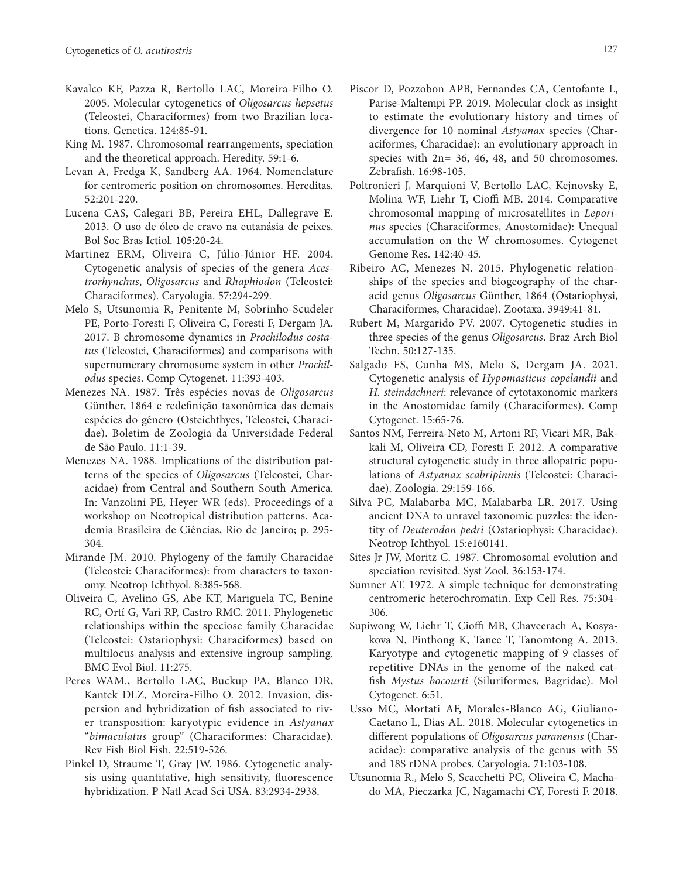- Kavalco KF, Pazza R, Bertollo LAC, Moreira-Filho O. 2005. Molecular cytogenetics of *Oligosarcus hepsetus* (Teleostei, Characiformes) from two Brazilian locations. Genetica. 124:85-91.
- King M. 1987. Chromosomal rearrangements, speciation and the theoretical approach. Heredity. 59:1-6.
- Levan A, Fredga K, Sandberg AA. 1964. Nomenclature for centromeric position on chromosomes. Hereditas. 52:201-220.
- Lucena CAS, Calegari BB, Pereira EHL, Dallegrave E. 2013. O uso de óleo de cravo na eutanásia de peixes. Bol Soc Bras Ictiol. 105:20-24.
- Martinez ERM, Oliveira C, Júlio-Júnior HF. 2004. Cytogenetic analysis of species of the genera *Acestrorhynchus*, *Oligosarcus* and *Rhaphiodon* (Teleostei: Characiformes). Caryologia. 57:294-299.
- Melo S, Utsunomia R, Penitente M, Sobrinho-Scudeler PE, Porto-Foresti F, Oliveira C, Foresti F, Dergam JA. 2017. B chromosome dynamics in *Prochilodus costatus* (Teleostei, Characiformes) and comparisons with supernumerary chromosome system in other *Prochilodus* species. Comp Cytogenet. 11:393-403.
- Menezes NA. 1987. Três espécies novas de *Oligosarcus*  Günther, 1864 e redefinição taxonômica das demais espécies do gênero (Osteichthyes, Teleostei, Characidae). Boletim de Zoologia da Universidade Federal de São Paulo. 11:1-39.
- Menezes NA. 1988. Implications of the distribution patterns of the species of *Oligosarcus* (Teleostei, Characidae) from Central and Southern South America. In: Vanzolini PE, Heyer WR (eds). Proceedings of a workshop on Neotropical distribution patterns. Academia Brasileira de Ciências, Rio de Janeiro; p. 295- 304.
- Mirande JM. 2010. Phylogeny of the family Characidae (Teleostei: Characiformes): from characters to taxonomy. Neotrop Ichthyol. 8:385-568.
- Oliveira C, Avelino GS, Abe KT, Mariguela TC, Benine RC, Ortí G, Vari RP, Castro RMC. 2011. Phylogenetic relationships within the speciose family Characidae (Teleostei: Ostariophysi: Characiformes) based on multilocus analysis and extensive ingroup sampling. BMC Evol Biol. 11:275.
- Peres WAM., Bertollo LAC, Buckup PA, Blanco DR, Kantek DLZ, Moreira-Filho O. 2012. Invasion, dispersion and hybridization of fish associated to river transposition: karyotypic evidence in *Astyanax* "*bimaculatus* group" (Characiformes: Characidae). Rev Fish Biol Fish. 22:519-526.
- Pinkel D, Straume T, Gray JW. 1986. Cytogenetic analysis using quantitative, high sensitivity, fluorescence hybridization. P Natl Acad Sci USA. 83:2934-2938.
- Piscor D, Pozzobon APB, Fernandes CA, Centofante L, Parise-Maltempi PP. 2019. Molecular clock as insight to estimate the evolutionary history and times of divergence for 10 nominal *Astyanax* species (Characiformes, Characidae): an evolutionary approach in species with 2n= 36, 46, 48, and 50 chromosomes. Zebrafish. 16:98-105.
- Poltronieri J, Marquioni V, Bertollo LAC, Kejnovsky E, Molina WF, Liehr T, Cioffi MB. 2014. Comparative chromosomal mapping of microsatellites in *Leporinus* species (Characiformes, Anostomidae): Unequal accumulation on the W chromosomes. Cytogenet Genome Res. 142:40-45.
- Ribeiro AC, Menezes N. 2015. Phylogenetic relationships of the species and biogeography of the characid genus *Oligosarcus* Günther, 1864 (Ostariophysi, Characiformes, Characidae). Zootaxa. 3949:41-81.
- Rubert M, Margarido PV. 2007. Cytogenetic studies in three species of the genus *Oligosarcus*. Braz Arch Biol Techn. 50:127-135.
- Salgado FS, Cunha MS, Melo S, Dergam JA. 2021. Cytogenetic analysis of *Hypomasticus copelandii* and *H. steindachneri*: relevance of cytotaxonomic markers in the Anostomidae family (Characiformes). Comp Cytogenet. 15:65-76.
- Santos NM, Ferreira-Neto M, Artoni RF, Vicari MR, Bakkali M, Oliveira CD, Foresti F. 2012. A comparative structural cytogenetic study in three allopatric populations of *Astyanax scabripinnis* (Teleostei: Characidae). Zoologia. 29:159-166.
- Silva PC, Malabarba MC, Malabarba LR. 2017. Using ancient DNA to unravel taxonomic puzzles: the identity of *Deuterodon pedri* (Ostariophysi: Characidae). Neotrop Ichthyol. 15:e160141.
- Sites Jr JW, Moritz C. 1987. Chromosomal evolution and speciation revisited. Syst Zool. 36:153-174.
- Sumner AT. 1972. A simple technique for demonstrating centromeric heterochromatin. Exp Cell Res. 75:304- 306.
- Supiwong W, Liehr T, Cioffi MB, Chaveerach A, Kosyakova N, Pinthong K, Tanee T, Tanomtong A. 2013. Karyotype and cytogenetic mapping of 9 classes of repetitive DNAs in the genome of the naked catfish *Mystus bocourti* (Siluriformes, Bagridae). Mol Cytogenet. 6:51.
- Usso MC, Mortati AF, Morales-Blanco AG, Giuliano-Caetano L, Dias AL. 2018. Molecular cytogenetics in different populations of *Oligosarcus paranensis* (Characidae): comparative analysis of the genus with 5S and 18S rDNA probes. Caryologia. 71:103-108.
- Utsunomia R., Melo S, Scacchetti PC, Oliveira C, Machado MA, Pieczarka JC, Nagamachi CY, Foresti F. 2018.